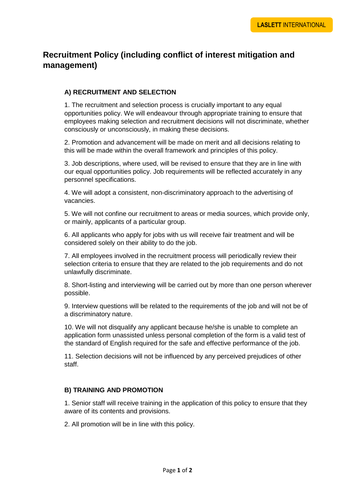# **Recruitment Policy (including conflict of interest mitigation and management)**

## **A) RECRUITMENT AND SELECTION**

1. The recruitment and selection process is crucially important to any equal opportunities policy. We will endeavour through appropriate training to ensure that employees making selection and recruitment decisions will not discriminate, whether consciously or unconsciously, in making these decisions.

2. Promotion and advancement will be made on merit and all decisions relating to this will be made within the overall framework and principles of this policy.

3. Job descriptions, where used, will be revised to ensure that they are in line with our equal opportunities policy. Job requirements will be reflected accurately in any personnel specifications.

4. We will adopt a consistent, non-discriminatory approach to the advertising of vacancies.

5. We will not confine our recruitment to areas or media sources, which provide only, or mainly, applicants of a particular group.

6. All applicants who apply for jobs with us will receive fair treatment and will be considered solely on their ability to do the job.

7. All employees involved in the recruitment process will periodically review their selection criteria to ensure that they are related to the job requirements and do not unlawfully discriminate.

8. Short-listing and interviewing will be carried out by more than one person wherever possible.

9. Interview questions will be related to the requirements of the job and will not be of a discriminatory nature.

10. We will not disqualify any applicant because he/she is unable to complete an application form unassisted unless personal completion of the form is a valid test of the standard of English required for the safe and effective performance of the job.

11. Selection decisions will not be influenced by any perceived prejudices of other staff.

#### **B) TRAINING AND PROMOTION**

1. Senior staff will receive training in the application of this policy to ensure that they aware of its contents and provisions.

2. All promotion will be in line with this policy.